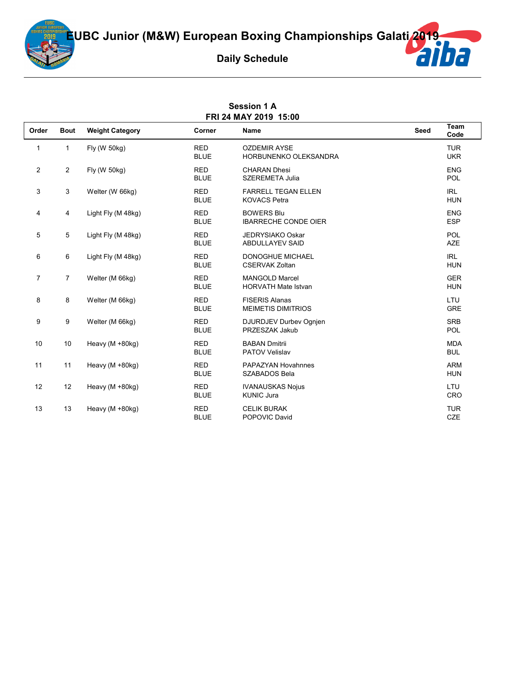

| <b>Session 1 A</b><br>FRI 24 MAY 2019 15:00 |                |                        |                           |                                                     |      |                          |
|---------------------------------------------|----------------|------------------------|---------------------------|-----------------------------------------------------|------|--------------------------|
| Order                                       | <b>Bout</b>    | <b>Weight Category</b> | Corner                    | Name                                                | Seed | Team<br>Code             |
| $\mathbf{1}$                                | $\mathbf{1}$   | Fly (W 50kg)           | <b>RED</b><br><b>BLUE</b> | <b>OZDEMIR AYSE</b><br>HORBUNENKO OLEKSANDRA        |      | <b>TUR</b><br><b>UKR</b> |
| $\overline{2}$                              | $\overline{2}$ | Fly (W 50kg)           | <b>RED</b><br><b>BLUE</b> | <b>CHARAN Dhesi</b><br><b>SZEREMETA Julia</b>       |      | <b>ENG</b><br>POL        |
| 3                                           | 3              | Welter (W 66kg)        | <b>RED</b><br><b>BLUE</b> | <b>FARRELL TEGAN ELLEN</b><br><b>KOVACS Petra</b>   |      | <b>IRL</b><br><b>HUN</b> |
| 4                                           | 4              | Light Fly (M 48kg)     | <b>RED</b><br><b>BLUE</b> | <b>BOWERS Blu</b><br><b>IBARRECHE CONDE OIER</b>    |      | <b>ENG</b><br><b>ESP</b> |
| 5                                           | 5              | Light Fly (M 48kg)     | <b>RED</b><br><b>BLUE</b> | <b>JEDRYSIAKO Oskar</b><br><b>ABDULLAYEV SAID</b>   |      | POL<br><b>AZE</b>        |
| 6                                           | 6              | Light Fly (M 48kg)     | <b>RED</b><br><b>BLUE</b> | <b>DONOGHUE MICHAEL</b><br><b>CSERVAK Zoltan</b>    |      | <b>IRL</b><br><b>HUN</b> |
| $\overline{7}$                              | $\overline{7}$ | Welter (M 66kg)        | <b>RED</b><br><b>BLUE</b> | <b>MANGOLD Marcel</b><br><b>HORVATH Mate Istvan</b> |      | <b>GER</b><br><b>HUN</b> |
| 8                                           | 8              | Welter (M 66kg)        | <b>RED</b><br><b>BLUE</b> | <b>FISERIS Alanas</b><br><b>MEIMETIS DIMITRIOS</b>  |      | LTU<br><b>GRE</b>        |
| 9                                           | 9              | Welter (M 66kg)        | <b>RED</b><br><b>BLUE</b> | DJURDJEV Durbev Ognjen<br>PRZESZAK Jakub            |      | <b>SRB</b><br><b>POL</b> |
| 10                                          | 10             | Heavy (M +80kg)        | <b>RED</b><br><b>BLUE</b> | <b>BABAN Dmitrii</b><br><b>PATOV Velislav</b>       |      | <b>MDA</b><br><b>BUL</b> |
| 11                                          | 11             | Heavy (M +80kg)        | <b>RED</b><br><b>BLUE</b> | PAPAZYAN Hovahnnes<br>SZABADOS Bela                 |      | <b>ARM</b><br><b>HUN</b> |
| 12                                          | 12             | Heavy (M +80kg)        | <b>RED</b><br><b>BLUE</b> | <b>IVANAUSKAS Nojus</b><br><b>KUNIC Jura</b>        |      | LTU<br>CRO               |
| 13                                          | 13             | Heavy (M +80kg)        | <b>RED</b><br><b>BLUE</b> | <b>CELIK BURAK</b><br>POPOVIC David                 |      | <b>TUR</b><br><b>CZE</b> |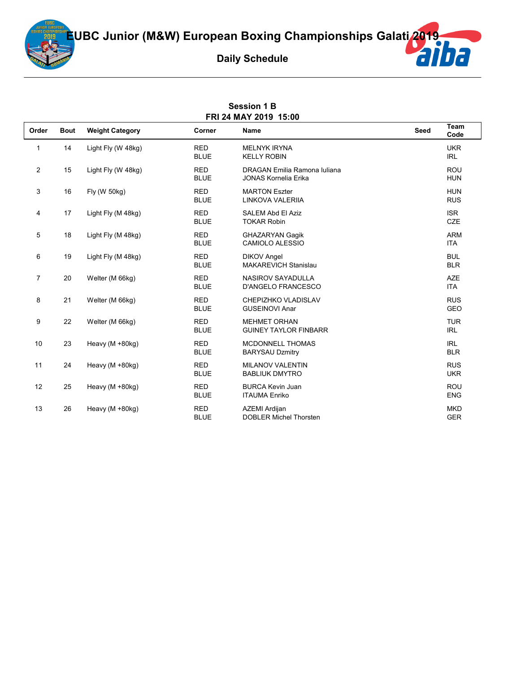

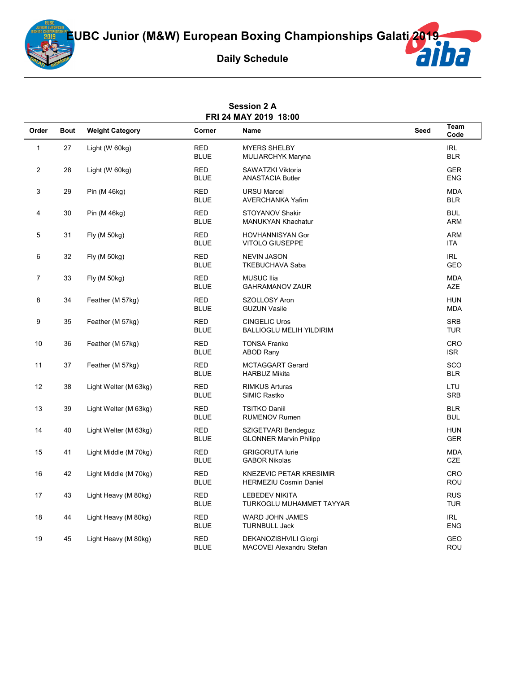

Tha